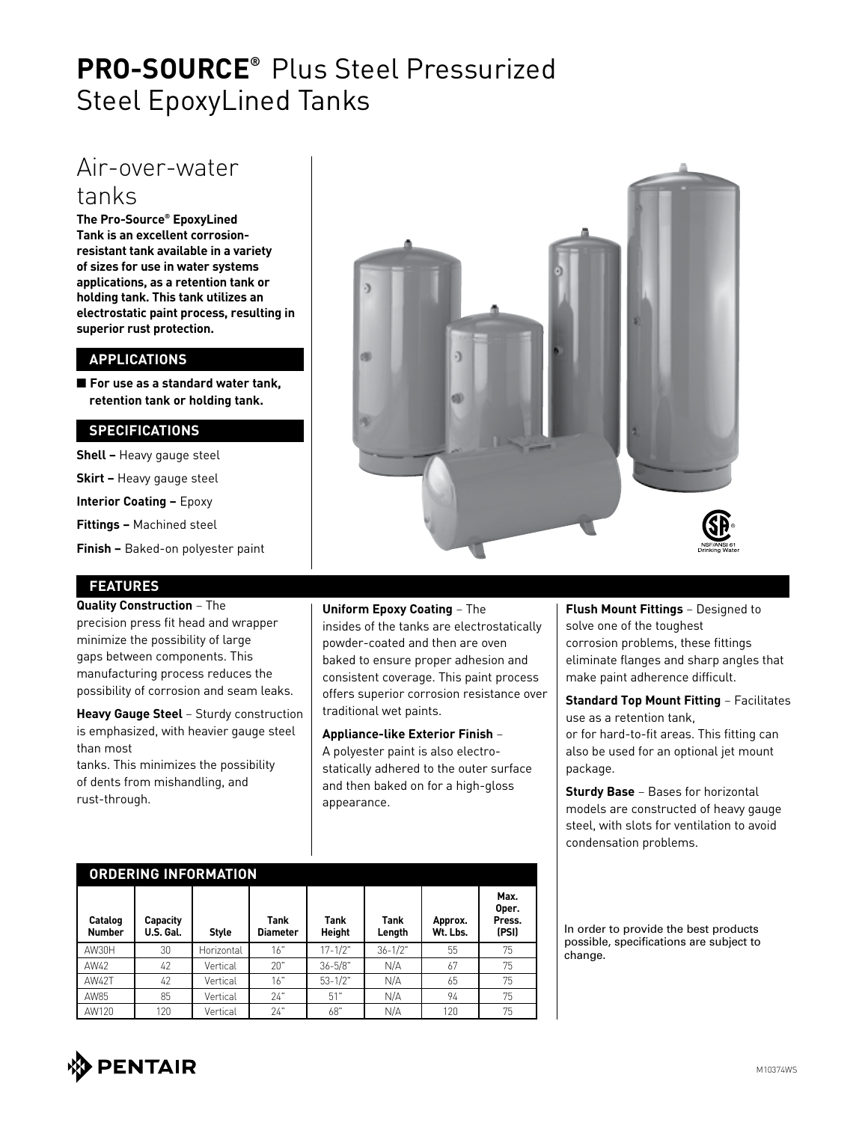# **PRO-SOURCE®** Plus Steel Pressurized Steel EpoxyLined Tanks

### Air-over-water tanks

**The Pro-Source® EpoxyLined Tank is an excellent corrosionresistant tank available in a variety of sizes for use in water systems applications, as a retention tank or holding tank. This tank utilizes an electrostatic paint process, resulting in superior rust protection.**

#### **APPLICATIONS**

■ For use as a standard water tank, **retention tank or holding tank.**

#### **SPECIFICATIONS**

**Shell –** Heavy gauge steel **Skirt –** Heavy gauge steel

**Interior Coating –** Epoxy

**Fittings –** Machined steel

**Finish –** Baked-on polyester paint

#### **FEATURES**

**Quality Construction** – The precision press fit head and wrapper minimize the possibility of large gaps between components. This manufacturing process reduces the possibility of corrosion and seam leaks.

**Heavy Gauge Steel** – Sturdy construction is emphasized, with heavier gauge steel than most

tanks. This minimizes the possibility of dents from mishandling, and rust-through.

**ORDERING INFORMATION**



**Uniform Epoxy Coating** – The insides of the tanks are electrostatically powder-coated and then are oven baked to ensure proper adhesion and consistent coverage. This paint process offers superior corrosion resistance over traditional wet paints.

**Appliance-like Exterior Finish** – A polyester paint is also electrostatically adhered to the outer surface and then baked on for a high-gloss appearance.

**Flush Mount Fittings** – Designed to solve one of the toughest corrosion problems, these fittings eliminate flanges and sharp angles that make paint adherence difficult.

**Standard Top Mount Fitting** – Facilitates use as a retention tank, or for hard-to-fit areas. This fitting can also be used for an optional jet mount package.

**Sturdy Base** – Bases for horizontal models are constructed of heavy gauge steel, with slots for ventilation to avoid condensation problems.

| URUERING INFURMATION     |                       |              |                         |                       |                |                     |                                  |  |  |
|--------------------------|-----------------------|--------------|-------------------------|-----------------------|----------------|---------------------|----------------------------------|--|--|
| Catalog<br><b>Number</b> | Capacity<br>U.S. Gal. | <b>Style</b> | Tank<br><b>Diameter</b> | Tank<br><b>Height</b> | Tank<br>Length | Approx.<br>Wt. Lbs. | Max.<br>Oper.<br>Press.<br>(PSI) |  |  |
| AW30H                    | 30                    | Horizontal   | 16"                     | $17 - 1/2"$           | $36 - 1/2"$    | 55                  | 75                               |  |  |
| AW42                     | 42                    | Vertical     | 20"                     | $36 - 5/8"$           | N/A            | 67                  | 75                               |  |  |
| AW42T                    | 42                    | Vertical     | 16"                     | $53 - 1/2"$           | N/A            | 65                  | 75                               |  |  |
| AW85                     | 85                    | Vertical     | 24"                     | 51"                   | N/A            | 94                  | 75                               |  |  |
| AW120                    | 120                   | Vertical     | 24"                     | 68"                   | N/A            | 120                 | 75                               |  |  |

In order to provide the best products possible, specifications are subject to change.